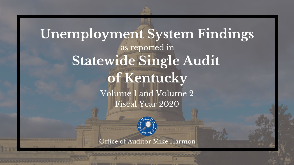

Office of Auditor Mike Harmon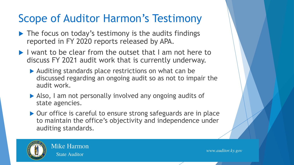### Scope of Auditor Harmon's Testimony

- $\blacktriangleright$  The focus on today's testimony is the audits findings reported in FY 2020 reports released by APA.
- I want to be clear from the outset that I am not here to discuss FY 2021 audit work that is currently underway.
	- Auditing standards place restrictions on what can be discussed regarding an ongoing audit so as not to impair the audit work.
	- Also, I am not personally involved any ongoing audits of state agencies.
	- ▶ Our office is careful to ensure strong safeguards are in place to maintain the office's objectivity and independence under auditing standards.



**Mike Harmon State Auditor**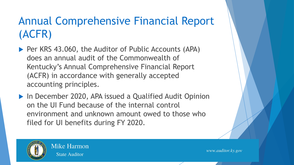## Annual Comprehensive Financial Report (ACFR)

- ▶ Per KRS 43.060, the Auditor of Public Accounts (APA) does an annual audit of the Commonwealth of Kentucky's Annual Comprehensive Financial Report (ACFR) in accordance with generally accepted accounting principles.
- ▶ In December 2020, APA issued a Qualified Audit Opinion on the UI Fund because of the internal control environment and unknown amount owed to those who filed for UI benefits during FY 2020.



**Mike Harmon State Auditor**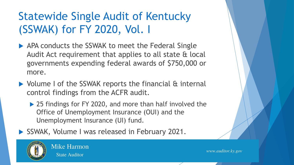# Statewide Single Audit of Kentucky (SSWAK) for FY 2020, Vol. I

- APA conducts the SSWAK to meet the Federal Single Audit Act requirement that applies to all state & local governments expending federal awards of \$750,000 or more.
- ▶ Volume I of the SSWAK reports the financial & internal control findings from the ACFR audit.
	- ▶ 25 findings for FY 2020, and more than half involved the Office of Unemployment Insurance (OUI) and the Unemployment Insurance (UI) fund.
- SSWAK, Volume I was released in February 2021.



**State Auditor** 

**Mike Harmon**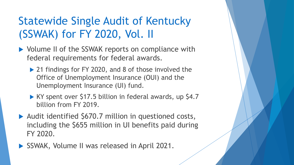## Statewide Single Audit of Kentucky (SSWAK) for FY 2020, Vol. II

- ▶ Volume II of the SSWAK reports on compliance with federal requirements for federal awards.
	- ▶ 21 findings for FY 2020, and 8 of those involved the Office of Unemployment Insurance (OUI) and the Unemployment Insurance (UI) fund.
	- KY spent over \$17.5 billion in federal awards, up \$4.7 billion from FY 2019.
- ▶ Audit identified \$670.7 million in questioned costs, including the \$655 million in UI benefits paid during FY 2020.
- SSWAK, Volume II was released in April 2021.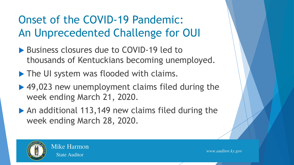# Onset of the COVID-19 Pandemic: An Unprecedented Challenge for OUI

- ▶ Business closures due to COVID-19 led to thousands of Kentuckians becoming unemployed.
- The UI system was flooded with claims.
- ▶ 49,023 new unemployment claims filed during the week ending March 21, 2020.
- ▶ An additional 113,149 new claims filed during the week ending March 28, 2020.



**State Auditor** 

**Mike Harmon**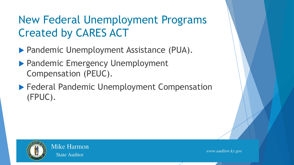## New Federal Unemployment Programs Created by CARES ACT

- **Pandemic Unemployment Assistance (PUA).**
- ▶ Pandemic Emergency Unemployment Compensation (PEUC).
- **Federal Pandemic Unemployment Compensation** (FPUC).



**Mike Harmon State Auditor**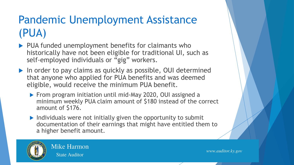# Pandemic Unemployment Assistance (PUA)

- PUA funded unemployment benefits for claimants who historically have not been eligible for traditional UI, such as self-employed individuals or "gig" workers.
- ▶ In order to pay claims as quickly as possible, OUI determined that anyone who applied for PUA benefits and was deemed eligible, would receive the minimum PUA benefit.
	- ▶ From program initiation until mid-May 2020, OUI assigned a minimum weekly PUA claim amount of \$180 instead of the correct amount of \$176.
	- $\blacktriangleright$  Individuals were not initially given the opportunity to submit documentation of their earnings that might have entitled them to a higher benefit amount.



**Mike Harmon State Auditor**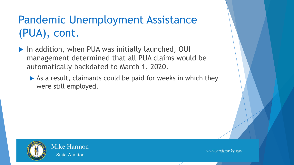# Pandemic Unemployment Assistance (PUA), cont.

- ▶ In addition, when PUA was initially launched, OUI management determined that all PUA claims would be automatically backdated to March 1, 2020.
	- As a result, claimants could be paid for weeks in which they were still employed.



**Mike Harmon State Auditor**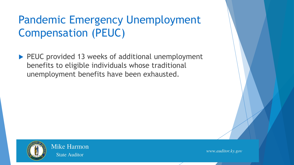## Pandemic Emergency Unemployment Compensation (PEUC)

▶ PEUC provided 13 weeks of additional unemployment benefits to eligible individuals whose traditional unemployment benefits have been exhausted.



**Mike Harmon State Auditor**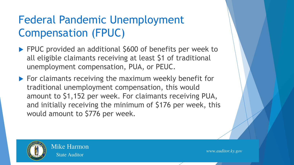## Federal Pandemic Unemployment Compensation (FPUC)

- **FPUC** provided an additional \$600 of benefits per week to all eligible claimants receiving at least \$1 of traditional unemployment compensation, PUA, or PEUC.
- ▶ For claimants receiving the maximum weekly benefit for traditional unemployment compensation, this would amount to \$1,152 per week. For claimants receiving PUA, and initially receiving the minimum of \$176 per week, this would amount to \$776 per week.



**State Auditor** 

**Mike Harmon**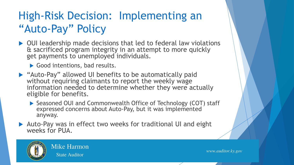## High-Risk Decision: Implementing an "Auto-Pay" Policy

- ▶ OUI leadership made decisions that led to federal law violations & sacrificed program integrity in an attempt to more quickly get payments to unemployed individuals.
	- Good intentions, bad results.
- "Auto-Pay" allowed UI benefits to be automatically paid without requiring claimants to report the weekly wage information needed to determine whether they were actually eligible for benefits.
	- ▶ Seasoned OUI and Commonwealth Office of Technology (COT) staff expressed concerns about Auto-Pay, but it was implemented anyway.
- ▶ Auto-Pay was in effect two weeks for traditional UI and eight weeks for PUA.



**Mike Harmon State Auditor**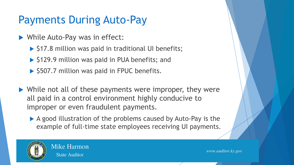### Payments During Auto-Pay

- While Auto-Pay was in effect:
	- $\triangleright$  \$17.8 million was paid in traditional UI benefits;
	- ▶ \$129.9 million was paid in PUA benefits; and
	- $\triangleright$  \$507.7 million was paid in FPUC benefits.
- ▶ While not all of these payments were improper, they were all paid in a control environment highly conducive to improper or even fraudulent payments.
	- A good illustration of the problems caused by Auto-Pay is the example of full-time state employees receiving UI payments.



**Mike Harmon State Auditor**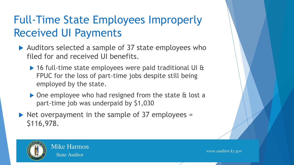# Full-Time State Employees Improperly Received UI Payments

- ▶ Auditors selected a sample of 37 state employees who filed for and received UI benefits.
	- ▶ 16 full-time state employees were paid traditional UI & FPUC for the loss of part-time jobs despite still being employed by the state.
	- ▶ One employee who had resigned from the state & lost a part-time job was underpaid by \$1,030
- $\triangleright$  Net overpayment in the sample of 37 employees = \$116,978.



**State Auditor** 

**Mike Harmon**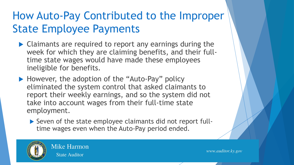## How Auto-Pay Contributed to the Improper State Employee Payments

- ▶ Claimants are required to report any earnings during the week for which they are claiming benefits, and their fulltime state wages would have made these employees ineligible for benefits.
- ▶ However, the adoption of the "Auto-Pay" policy eliminated the system control that asked claimants to report their weekly earnings, and so the system did not take into account wages from their full-time state employment.
	- ▶ Seven of the state employee claimants did not report fulltime wages even when the Auto-Pay period ended.



**Mike Harmon State Auditor**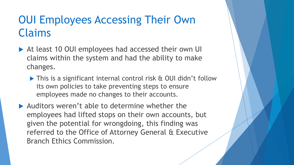### OUI Employees Accessing Their Own Claims

- ▶ At least 10 OUI employees had accessed their own UI claims within the system and had the ability to make changes.
	- ▶ This is a significant internal control risk & OUI didn't follow its own policies to take preventing steps to ensure employees made no changes to their accounts.
- Auditors weren't able to determine whether the employees had lifted stops on their own accounts, but given the potential for wrongdoing, this finding was referred to the Office of Attorney General & Executive Branch Ethics Commission.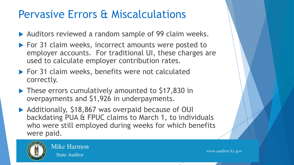#### Pervasive Errors & Miscalculations

- ▶ Auditors reviewed a random sample of 99 claim weeks.
- ▶ For 31 claim weeks, incorrect amounts were posted to employer accounts. For traditional UI, these charges are used to calculate employer contribution rates.
- For 31 claim weeks, benefits were not calculated correctly.
- ▶ These errors cumulatively amounted to \$17,830 in overpayments and \$1,926 in underpayments.
- ▶ Additionally, \$18,867 was overpaid because of OUI backdating PUA & FPUC claims to March 1, to individuals who were still employed during weeks for which benefits were paid.



**Mike Harmon State Auditor**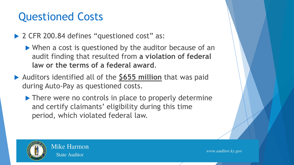### Questioned Costs

▶ 2 CFR 200.84 defines "questioned cost" as:

 When a cost is questioned by the auditor because of an audit finding that resulted from **a violation of federal law or the terms of a federal award**.

- Auditors identified all of the **\$655 million** that was paid during Auto-Pay as questioned costs.
	- ▶ There were no controls in place to properly determine and certify claimants' eligibility during this time period, which violated federal law.



**Mike Harmon State Auditor**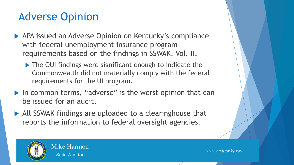### Adverse Opinion

- APA issued an Adverse Opinion on Kentucky's compliance with federal unemployment insurance program requirements based on the findings in SSWAK, Vol. II.
	- ▶ The OUI findings were significant enough to indicate the Commonwealth did not materially comply with the federal requirements for the UI program.
- $\blacktriangleright$  In common terms, "adverse" is the worst opinion that can be issued for an audit.
- All SSWAK findings are uploaded to a clearinghouse that reports the information to federal oversight agencies.



**Mike Harmon State Auditor**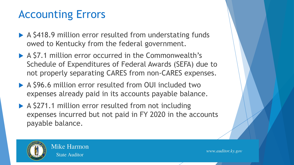### Accounting Errors

- ▶ A \$418.9 million error resulted from understating funds owed to Kentucky from the federal government.
- ▶ A \$7.1 million error occurred in the Commonwealth's Schedule of Expenditures of Federal Awards (SEFA) due to not properly separating CARES from non-CARES expenses.
- ▶ A \$96.6 million error resulted from OUI included two expenses already paid in its accounts payable balance.
- ▶ A \$271.1 million error resulted from not including expenses incurred but not paid in FY 2020 in the accounts payable balance.



**Mike Harmon State Auditor**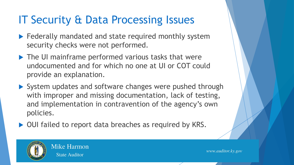### IT Security & Data Processing Issues

- $\blacktriangleright$  Federally mandated and state required monthly system security checks were not performed.
- ▶ The UI mainframe performed various tasks that were undocumented and for which no one at UI or COT could provide an explanation.
- System updates and software changes were pushed through with improper and missing documentation, lack of testing, and implementation in contravention of the agency's own policies.
- ▶ OUI failed to report data breaches as required by KRS.



**State Auditor** 

**Mike Harmon**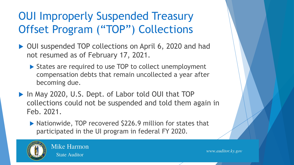## OUI Improperly Suspended Treasury Offset Program ("TOP") Collections

- ▶ OUI suspended TOP collections on April 6, 2020 and had not resumed as of February 17, 2021.
	- ▶ States are required to use TOP to collect unemployment compensation debts that remain uncollected a year after becoming due.
- ▶ In May 2020, U.S. Dept. of Labor told OUI that TOP collections could not be suspended and told them again in Feb. 2021.
	- ▶ Nationwide, TOP recovered \$226.9 million for states that participated in the UI program in federal FY 2020.



**Mike Harmon State Auditor**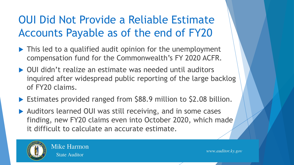## OUI Did Not Provide a Reliable Estimate Accounts Payable as of the end of FY20

- ▶ This led to a qualified audit opinion for the unemployment compensation fund for the Commonwealth's FY 2020 ACFR.
- ▶ OUI didn't realize an estimate was needed until auditors inquired after widespread public reporting of the large backlog of FY20 claims.
- ▶ Estimates provided ranged from \$88.9 million to \$2.08 billion.
- ▶ Auditors learned OUI was still receiving, and in some cases finding, new FY20 claims even into October 2020, which made it difficult to calculate an accurate estimate.



**Mike Harmon State Auditor**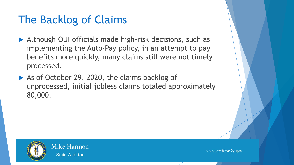### The Backlog of Claims

- Although OUI officials made high-risk decisions, such as implementing the Auto-Pay policy, in an attempt to pay benefits more quickly, many claims still were not timely processed.
- As of October 29, 2020, the claims backlog of unprocessed, initial jobless claims totaled approximately 80,000.



**Mike Harmon State Auditor**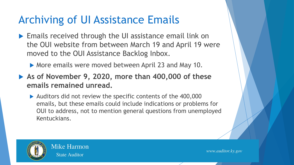#### Archiving of UI Assistance Emails

- ▶ Emails received through the UI assistance email link on the OUI website from between March 19 and April 19 were moved to the OUI Assistance Backlog Inbox.
	- ▶ More emails were moved between April 23 and May 10.
- **As of November 9, 2020, more than 400,000 of these emails remained unread.** 
	- Auditors did not review the specific contents of the 400,000 emails, but these emails could include indications or problems for OUI to address, not to mention general questions from unemployed Kentuckians.



**Mike Harmon State Auditor**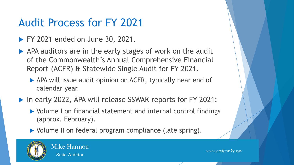### Audit Process for FY 2021

- **FY 2021 ended on June 30, 2021.**
- APA auditors are in the early stages of work on the audit of the Commonwealth's Annual Comprehensive Financial Report (ACFR) & Statewide Single Audit for FY 2021.
	- APA will issue audit opinion on ACFR, typically near end of calendar year.
- ▶ In early 2022, APA will release SSWAK reports for FY 2021:
	- ▶ Volume I on financial statement and internal control findings (approx. February).
	- Volume II on federal program compliance (late spring).



**Mike Harmon State Auditor**